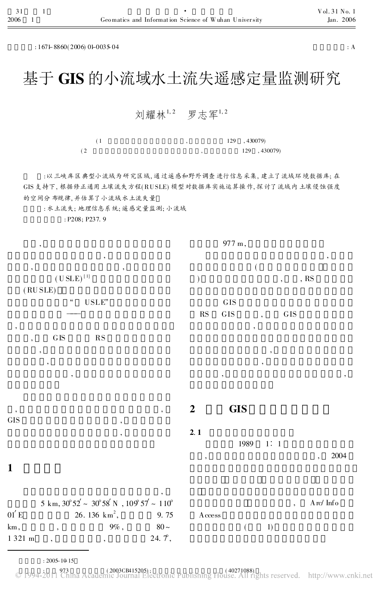$: 167 + 8860(2006) 0 + 003504$  : A

# 基于 GIS 的小流域水土流失遥感定量监测研究

## 刘耀林1,2 罗志军1,2

|     |  | 129, 430079) |              |
|-----|--|--------------|--------------|
| (2) |  |              | 129, 430079) |

: 以三峡库区典型小流域为研究区域, 通过遥感和野外调查进行信息采集, 建立了流域环境数据库; 在 GIS 支持下, 根据修正通用土壤流失方程( RUSLE) 模型对数据库实施运算操作, 探讨了流域内土壤侵蚀强度 的空间分布规律, 并估算了小流域水土流失量

: 水土流失; 地理信息系统; 遥感定量监测; 小流域

: P208; P237. 9

| $^\circ$                                                                                                        |                          | 977 m,      |                          |                          |                                  |
|-----------------------------------------------------------------------------------------------------------------|--------------------------|-------------|--------------------------|--------------------------|----------------------------------|
| $^\bullet$<br>$, \,$<br>$\,$                                                                                    |                          |             | $\overline{(}$           |                          | ,                                |
| $(U SLE)^{[1]}$                                                                                                 | $\mathcal{E}$            |             | $\overline{\phantom{a}}$ | , $RS$                   |                                  |
| (RUSLE)                                                                                                         |                          |             |                          |                          |                                  |
| $\zeta\zeta$<br>$\ensuremath{\mathsf{U}}\ensuremath{\mathsf{S}}\ensuremath{\mathsf{L}}\ensuremath{\mathsf{E}}"$ |                          | ${\rm GIS}$ |                          |                          |                                  |
|                                                                                                                 | $\mathbf{RS}$            | ${\rm GIS}$ | $\overline{\phantom{a}}$ | ${\rm GIS}$              |                                  |
| $^\circ$<br>${\rm G}\, {\rm IS}$<br>$\mathbf{RS}$<br>$\overline{\phantom{a}}$                                   |                          |             | $^\circ$                 |                          |                                  |
| $^\circ$                                                                                                        |                          |             |                          |                          |                                  |
| $^\circ$                                                                                                        |                          |             | ,                        |                          |                                  |
| $^\circ$                                                                                                        |                          | $^\circ$    |                          |                          | $^\circ$                         |
|                                                                                                                 |                          |             |                          |                          |                                  |
| $^\circ$<br>$\overline{\phantom{a}}$<br><b>GIS</b><br>$\overline{\phantom{a}}$                                  | $\boldsymbol{2}$         | <b>GIS</b>  |                          |                          |                                  |
| $\overline{\phantom{a}}$                                                                                        | 2.1                      |             |                          |                          |                                  |
|                                                                                                                 |                          | 1989        | 1:1                      |                          |                                  |
|                                                                                                                 | $\overline{\phantom{a}}$ |             |                          |                          | 2004<br>,                        |
| $\mathbf{1}$                                                                                                    |                          |             |                          |                          |                                  |
|                                                                                                                 |                          |             |                          |                          |                                  |
| $5$ km, $30^{\circ}52^{\prime}\sim\,30^{\circ}58^{\prime}$ N $\,$ , $109^{\circ}57\sim\,110^{\circ}$            |                          |             |                          | $\overline{\phantom{a}}$ | $\mbox{A\,{\sc r}}\mbox{C}$ Info |
| $01^{'} E$<br>26. 136 $km^2$ ,<br>9.75                                                                          | $A \csc s$               |             |                          |                          |                                  |
| $80 \sim$<br>km,<br>$9\%$ ,<br>$\, ,$                                                                           |                          | $\left($    | 1)                       |                          |                                  |
| 24. $\mathcal{T},$<br>1 321 m<br>$\overline{\phantom{a}}$<br>$\overline{\phantom{a}}$                           |                          |             |                          |                          |                                  |

: 2005-10-15

C 1994-2011 China Academic Journal Electronic Publishing House. All rights reserved. http://www.cnki.net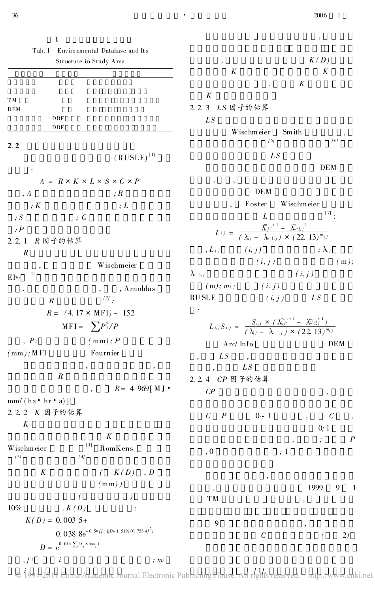| 1                          |                                                                |                                            |                                                                                                                                                            | $\, ,$                                 |
|----------------------------|----------------------------------------------------------------|--------------------------------------------|------------------------------------------------------------------------------------------------------------------------------------------------------------|----------------------------------------|
| Tab. 1                     | Environmental Database and Its                                 |                                            |                                                                                                                                                            |                                        |
|                            | Structure in Study Area                                        | $\,$                                       |                                                                                                                                                            | K(D)                                   |
|                            |                                                                | $\boldsymbol{K}$                           |                                                                                                                                                            | $\boldsymbol{K}$                       |
|                            |                                                                |                                            | $^\circ$                                                                                                                                                   | K                                      |
| TМ                         |                                                                | K                                          |                                                                                                                                                            |                                        |
| DEM                        |                                                                | 2.2.3 LS 因子的估算                             |                                                                                                                                                            |                                        |
| <b>DBF</b>                 |                                                                | L <sub>S</sub>                             |                                                                                                                                                            |                                        |
| <b>DBF</b>                 |                                                                |                                            | Wischmeier<br>Smith                                                                                                                                        |                                        |
| 2.2                        |                                                                |                                            | [5]                                                                                                                                                        | [6]                                    |
|                            | $(RUSE)^{[1]}$                                                 |                                            | L <sub>S</sub>                                                                                                                                             |                                        |
|                            |                                                                |                                            |                                                                                                                                                            | <b>DEM</b>                             |
| :                          |                                                                |                                            |                                                                                                                                                            |                                        |
|                            | $A = R \times K \times L \times S \times C \times P$           |                                            | <b>DEM</b>                                                                                                                                                 |                                        |
| , A                        | ;R                                                             |                                            |                                                                                                                                                            |                                        |
| ; K                        | ;L                                                             |                                            | Foster                                                                                                                                                     | Wischmeier<br>$^{[7]}:$                |
| ;                          | $\cdot$ : C                                                    |                                            | L                                                                                                                                                          |                                        |
| ;P                         |                                                                |                                            | $L_{ij} = \frac{\chi_{ij}^{n}j^{+1} - \chi_{ij}^{n}i_{ij}^{-1}}{(\lambda_j - \lambda_{1,j}) \times (22, 13)^{m_{ij}}}$                                     |                                        |
| 2. 2. 1<br>R 因子的估算         |                                                                |                                            |                                                                                                                                                            |                                        |
| $\boldsymbol{R}$           |                                                                | $, L_{ij}$ $(i, j)$                        |                                                                                                                                                            | $; \lambda_{i,j}$                      |
| $\overline{\phantom{a}}$   | Wischmeier                                                     |                                            | (i, j)                                                                                                                                                     | (m);                                   |
| [1]<br>$E$ [30             |                                                                | $\lambda$ - 1, j                           |                                                                                                                                                            | (i, j)                                 |
| $^\circ$                   | , Arnoldus                                                     | $(m); m_{i,j}$ $(i, j)$                    |                                                                                                                                                            |                                        |
| $\boldsymbol{R}$           | $\lceil 2\rceil$ .                                             | <b>RUSLE</b>                               | (i, j)                                                                                                                                                     | LS                                     |
|                            | $R = (4.17 \times \text{MFI}) - 152$                           | $\therefore$                               |                                                                                                                                                            |                                        |
|                            | $MFI = \sum P_i^2/P$                                           |                                            | $L_{i,j}S_{i,j} = \frac{S_{i,j} \times (\lambda_{i,j}^{m_{i,j}+1} - \lambda_{i,j,j}^{m_{i,j}+1})}{(\lambda_i - \lambda_{i-1,j}) \times (22.13)^{m_{i,j}}}$ |                                        |
|                            |                                                                |                                            |                                                                                                                                                            |                                        |
| $P_i$                      | (mm); P                                                        | Arc/Info                                   |                                                                                                                                                            | <b>DEM</b>                             |
| $(mm);$ MFI                | Fournier                                                       | L <sub>S</sub><br>$\overline{\phantom{a}}$ | $\overline{\phantom{a}}$                                                                                                                                   |                                        |
|                            | $^\circ$<br>$^\mathrm{^{^\circ}}$                              | $\bullet$                                  | L <sub>S</sub>                                                                                                                                             |                                        |
| $\cal R$                   |                                                                | 2.2.4 CP 因子的估算                             |                                                                                                                                                            |                                        |
|                            | $, \qquad R = 4969 \, \text{M J} \cdot$                        | $\mathcal{C}P$                             |                                                                                                                                                            | $^\circ$                               |
| $mm/(ha \cdot hr \cdot a)$ |                                                                |                                            |                                                                                                                                                            |                                        |
| 2.2.2 K 因子的估算              |                                                                | $\mathcal C$<br>$\boldsymbol{P}$           | $0\!\sim\,1$                                                                                                                                               | $\mathcal C$                           |
| $\boldsymbol{K}$           |                                                                |                                            |                                                                                                                                                            | 0; 1                                   |
|                            | $\boldsymbol{K}$                                               |                                            |                                                                                                                                                            | $\boldsymbol{P}$<br>$\cdot$<br>$\cdot$ |
| Wischmeier                 | $[1]$<br>RomKens                                               | , 0                                        | ; 1                                                                                                                                                        |                                        |
| $[\,3]$                    | [4]                                                            |                                            |                                                                                                                                                            |                                        |
| $K_{\rm}$                  | (K(D), D)                                                      |                                            |                                                                                                                                                            |                                        |
|                            | $(mm)$ )                                                       |                                            | $\,$                                                                                                                                                       | 1999<br>9<br>$\mathbf{1}$              |
|                            |                                                                | $^\circ$<br>TM                             |                                                                                                                                                            |                                        |
| 10%                        | , K(D)<br>$\therefore$                                         |                                            |                                                                                                                                                            | $\,$                                   |
| $K(D) = 0.0035 +$          |                                                                | 9                                          |                                                                                                                                                            |                                        |
|                            | 0. 038 $8e^{-0.5 \times \{[(4B+1.519)/0.758.4]^2\}}$           |                                            |                                                                                                                                                            | $^\mathrm{o}$                          |
|                            | $D = \mathrm{e}^{0.01 \times \sum (f_i \times \mathrm{hm}_i)}$ |                                            | $\mathcal C$                                                                                                                                               | 2)                                     |
|                            |                                                                |                                            |                                                                                                                                                            |                                        |
| $, f^i$<br>$\dot{i}$       | ; m <sub>i</sub>                                               |                                            |                                                                                                                                                            |                                        |

i<br>1004 2011 China Academic Journal Electronic Publishing House All role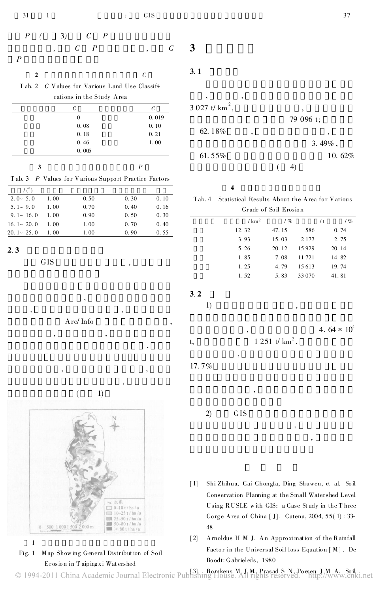$\overline{2}$ 

Tab. 2 C Values for Various Land Use Classifications in the Study Area

| C     | C     |
|-------|-------|
|       | 0.019 |
| 0.08  | 0.10  |
| 0.18  | 0.21  |
| 0.46  | 1.00  |
| 0.005 |       |

| ۰,<br>v<br>×       |  |
|--------------------|--|
| ۹<br>۰.<br>۰,<br>× |  |

 $\overline{P}$ 

|  | T ab. 3 P Values for Various Support Practice Factors |
|--|-------------------------------------------------------|
|--|-------------------------------------------------------|

| $2.0 \sim 5.0$    | 1.00 | 0.50 | 0.30 | 0.10 |
|-------------------|------|------|------|------|
| $5.1 \sim 9.0$    | 1.00 | 0.70 | 0.40 | 0.16 |
| $9.1 \sim 16.0$   | 1.00 | 0.90 | 0.50 | 0.30 |
| 16. $1 \sim 20.0$ | 1.00 | 1.00 | 0.70 | 0.40 |
| $20.1 - 25.0$     | 1.00 | 1.00 | 0.90 | 0.55 |

 $2.3$ 

**GIS** 

Arc/Info

 $\overline{(}$ 

 $1)$ 



 $\mathbf{1}$ 

Fig. 1 Map Showing General Distribution of Soil Erosion in Taipingxi Watershed

37

 $3.1$ 

 $\overline{\mathbf{3}}$ 

 $\overline{C}$ 

 $\overline{C}$ 



#### $\overline{\mathbf{4}}$

Statistical Results About the Area for Various Tab. 4 Grade of Soil Erosion

| $/\,\mathrm{km}^2$ | 1%    |         | 1%<br>/ t |  |
|--------------------|-------|---------|-----------|--|
| 12.32              | 47.15 | 586     | 0.74      |  |
| 3.93               | 15.03 | 2 1 7 7 | 2.75      |  |
| 5.26               | 20.12 | 15929   | 20.14     |  |
| 1.85               | 7.08  | 11721   | 14.82     |  |
| 1.25               | 4.79  | 15 613  | 19.74     |  |
| 1.52               | 5.83  | 33 070  | 41.81     |  |

 $3.2$ 

 $1)$ 

4.64  $\times$  10<sup>4</sup>

 $1251$  t/  $km^2$ , t,

 $17.7\%$ 

 $(2)$ 

**GIS** 

- $\lceil 1 \rceil$ Shi Zhihua, Cai Chongfa, Ding Shuwen, et al. Soil Conservation Planning at the Small Watershed Level Using RUSLE with GIS: a Case Study in the Three Gorge Area of China [J]. Catena, 2004, 55(1): 33-48
- $[2]$ Arnoldus H M J. An Approximation of the Rainfall Factor in the Universal Soil loss Equation [M]. De Boodt: Gabrieleds, 1980

© 1994-2011 China Academic Journal Electronic Publishing House. A J M Prasad S N, Poesen J M A, Soil<br>Il rights reserved. http://www.cnk i.net